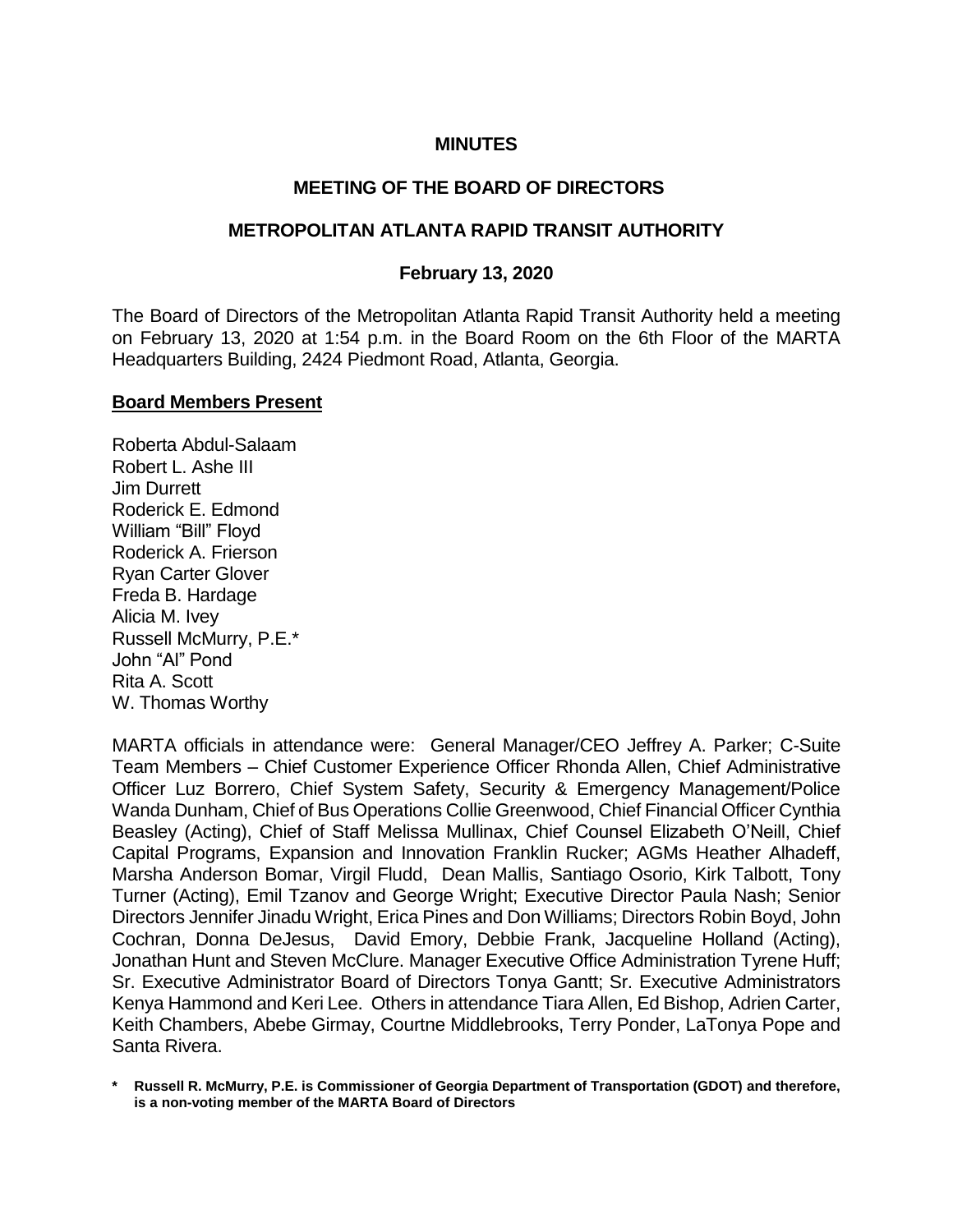## **MINUTES**

#### **MEETING OF THE BOARD OF DIRECTORS**

#### **METROPOLITAN ATLANTA RAPID TRANSIT AUTHORITY**

#### **February 13, 2020**

The Board of Directors of the Metropolitan Atlanta Rapid Transit Authority held a meeting on February 13, 2020 at 1:54 p.m. in the Board Room on the 6th Floor of the MARTA Headquarters Building, 2424 Piedmont Road, Atlanta, Georgia.

#### **Board Members Present**

Roberta Abdul-Salaam Robert L. Ashe III Jim Durrett Roderick E. Edmond William "Bill" Floyd Roderick A. Frierson Ryan Carter Glover Freda B. Hardage Alicia M. Ivey Russell McMurry, P.E.\* John "Al" Pond Rita A. Scott W. Thomas Worthy

MARTA officials in attendance were: General Manager/CEO Jeffrey A. Parker; C-Suite Team Members – Chief Customer Experience Officer Rhonda Allen, Chief Administrative Officer Luz Borrero, Chief System Safety, Security & Emergency Management/Police Wanda Dunham, Chief of Bus Operations Collie Greenwood, Chief Financial Officer Cynthia Beasley (Acting), Chief of Staff Melissa Mullinax, Chief Counsel Elizabeth O'Neill, Chief Capital Programs, Expansion and Innovation Franklin Rucker; AGMs Heather Alhadeff, Marsha Anderson Bomar, Virgil Fludd, Dean Mallis, Santiago Osorio, Kirk Talbott, Tony Turner (Acting), Emil Tzanov and George Wright; Executive Director Paula Nash; Senior Directors Jennifer Jinadu Wright, Erica Pines and Don Williams; Directors Robin Boyd, John Cochran, Donna DeJesus, David Emory, Debbie Frank, Jacqueline Holland (Acting), Jonathan Hunt and Steven McClure. Manager Executive Office Administration Tyrene Huff; Sr. Executive Administrator Board of Directors Tonya Gantt; Sr. Executive Administrators Kenya Hammond and Keri Lee. Others in attendance Tiara Allen, Ed Bishop, Adrien Carter, Keith Chambers, Abebe Girmay, Courtne Middlebrooks, Terry Ponder, LaTonya Pope and Santa Rivera.

**\* Russell R. McMurry, P.E. is Commissioner of Georgia Department of Transportation (GDOT) and therefore, is a non-voting member of the MARTA Board of Directors**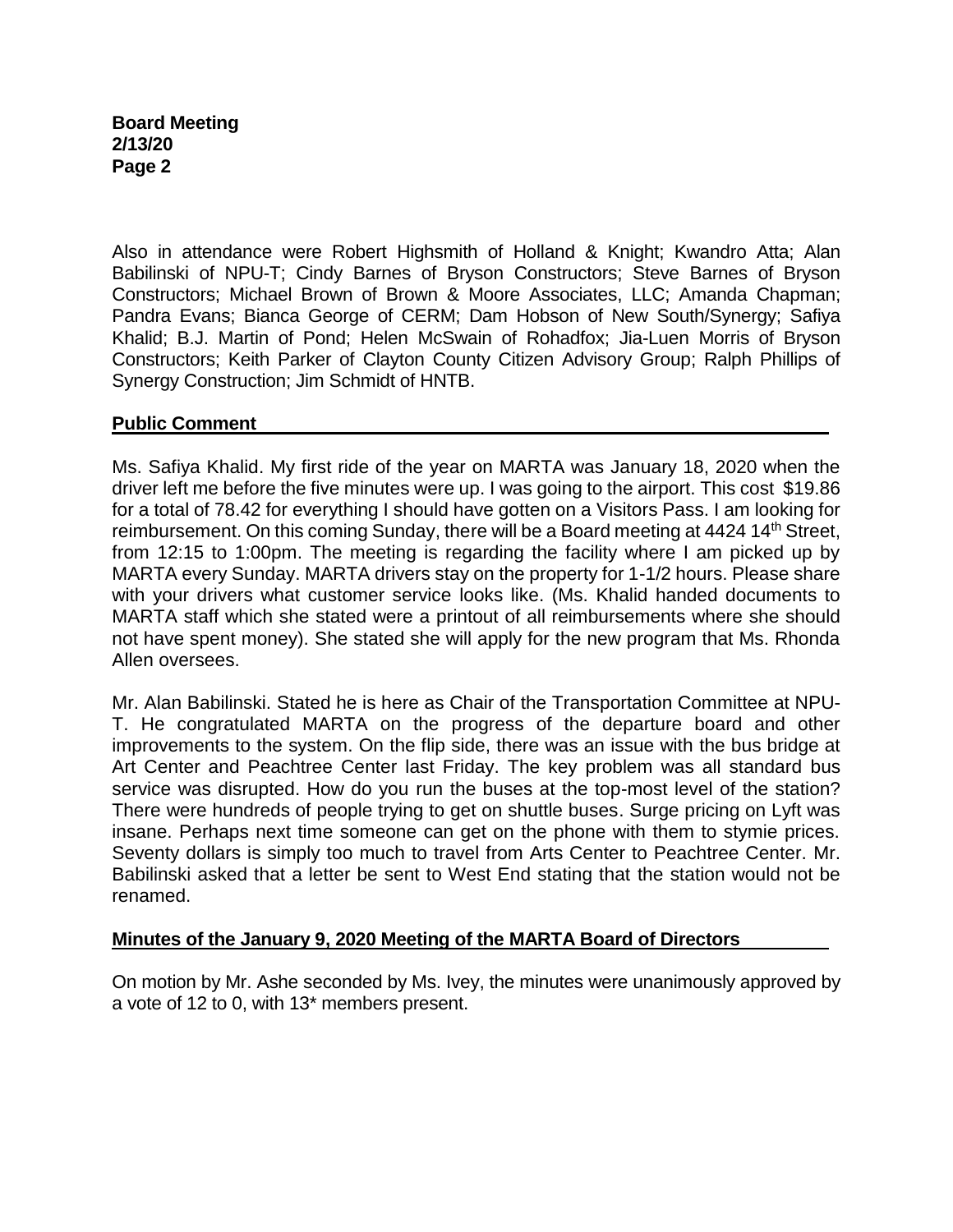### **Board Meeting 2/13/20 Page 2**

Also in attendance were Robert Highsmith of Holland & Knight; Kwandro Atta; Alan Babilinski of NPU-T; Cindy Barnes of Bryson Constructors; Steve Barnes of Bryson Constructors; Michael Brown of Brown & Moore Associates, LLC; Amanda Chapman; Pandra Evans; Bianca George of CERM; Dam Hobson of New South/Synergy; Safiya Khalid; B.J. Martin of Pond; Helen McSwain of Rohadfox; Jia-Luen Morris of Bryson Constructors; Keith Parker of Clayton County Citizen Advisory Group; Ralph Phillips of Synergy Construction; Jim Schmidt of HNTB.

#### **Public Comment**

Ms. Safiya Khalid. My first ride of the year on MARTA was January 18, 2020 when the driver left me before the five minutes were up. I was going to the airport. This cost \$19.86 for a total of 78.42 for everything I should have gotten on a Visitors Pass. I am looking for reimbursement. On this coming Sunday, there will be a Board meeting at 4424 14<sup>th</sup> Street, from 12:15 to 1:00pm. The meeting is regarding the facility where I am picked up by MARTA every Sunday. MARTA drivers stay on the property for 1-1/2 hours. Please share with your drivers what customer service looks like. (Ms. Khalid handed documents to MARTA staff which she stated were a printout of all reimbursements where she should not have spent money). She stated she will apply for the new program that Ms. Rhonda Allen oversees.

Mr. Alan Babilinski. Stated he is here as Chair of the Transportation Committee at NPU-T. He congratulated MARTA on the progress of the departure board and other improvements to the system. On the flip side, there was an issue with the bus bridge at Art Center and Peachtree Center last Friday. The key problem was all standard bus service was disrupted. How do you run the buses at the top-most level of the station? There were hundreds of people trying to get on shuttle buses. Surge pricing on Lyft was insane. Perhaps next time someone can get on the phone with them to stymie prices. Seventy dollars is simply too much to travel from Arts Center to Peachtree Center. Mr. Babilinski asked that a letter be sent to West End stating that the station would not be renamed.

# **Minutes of the January 9, 2020 Meeting of the MARTA Board of Directors**

On motion by Mr. Ashe seconded by Ms. Ivey, the minutes were unanimously approved by a vote of 12 to 0, with 13\* members present.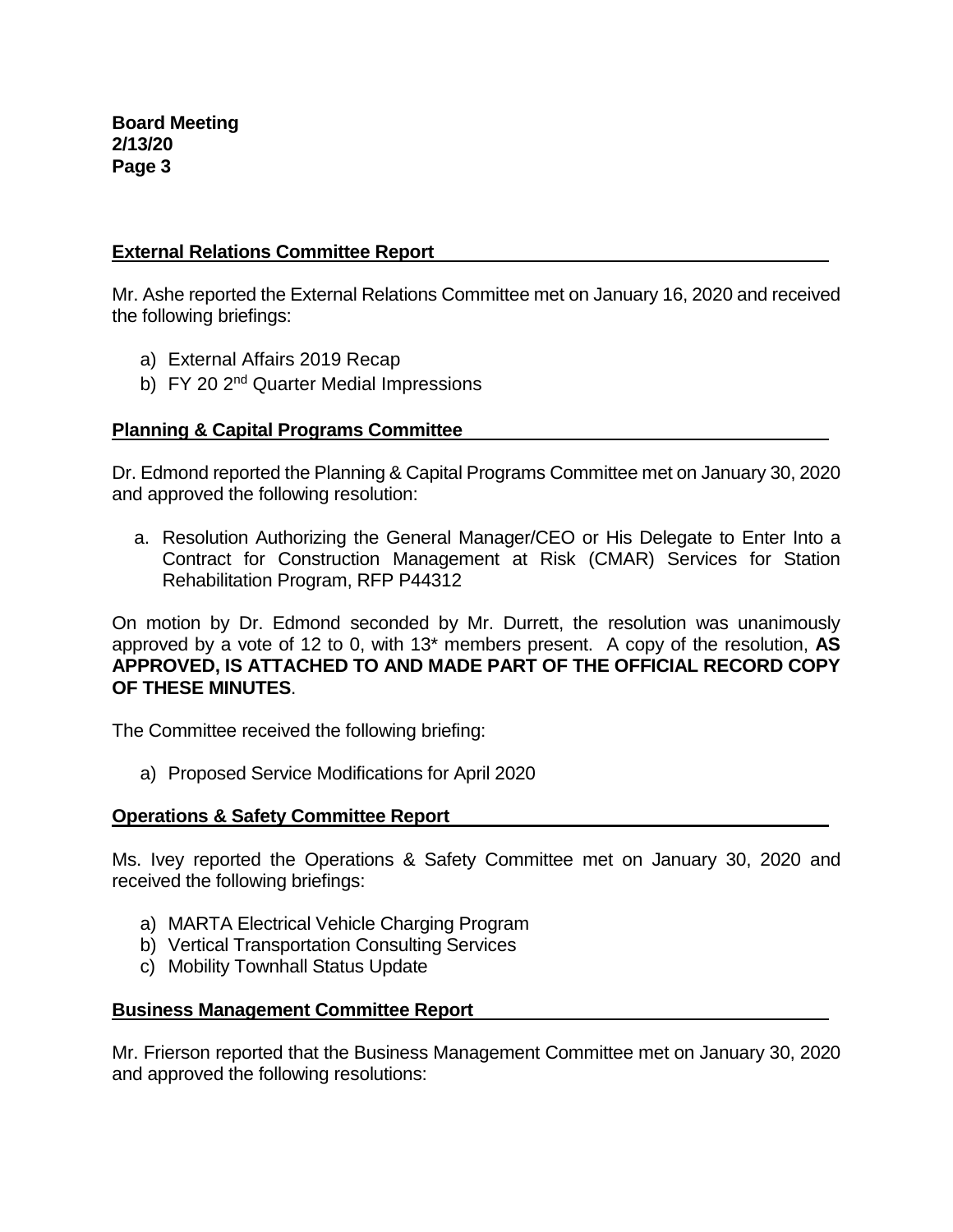# **External Relations Committee Report**

Mr. Ashe reported the External Relations Committee met on January 16, 2020 and received the following briefings:

- a) External Affairs 2019 Recap
- b) FY 20 2<sup>nd</sup> Quarter Medial Impressions

# **Planning & Capital Programs Committee**

Dr. Edmond reported the Planning & Capital Programs Committee met on January 30, 2020 and approved the following resolution:

a. Resolution Authorizing the General Manager/CEO or His Delegate to Enter Into a Contract for Construction Management at Risk (CMAR) Services for Station Rehabilitation Program, RFP P44312

On motion by Dr. Edmond seconded by Mr. Durrett, the resolution was unanimously approved by a vote of 12 to 0, with 13\* members present. A copy of the resolution, **AS APPROVED, IS ATTACHED TO AND MADE PART OF THE OFFICIAL RECORD COPY OF THESE MINUTES**.

The Committee received the following briefing:

a) Proposed Service Modifications for April 2020

# **Operations & Safety Committee Report**

Ms. Ivey reported the Operations & Safety Committee met on January 30, 2020 and received the following briefings:

- a) MARTA Electrical Vehicle Charging Program
- b) Vertical Transportation Consulting Services
- c) Mobility Townhall Status Update

# **Business Management Committee Report**

Mr. Frierson reported that the Business Management Committee met on January 30, 2020 and approved the following resolutions: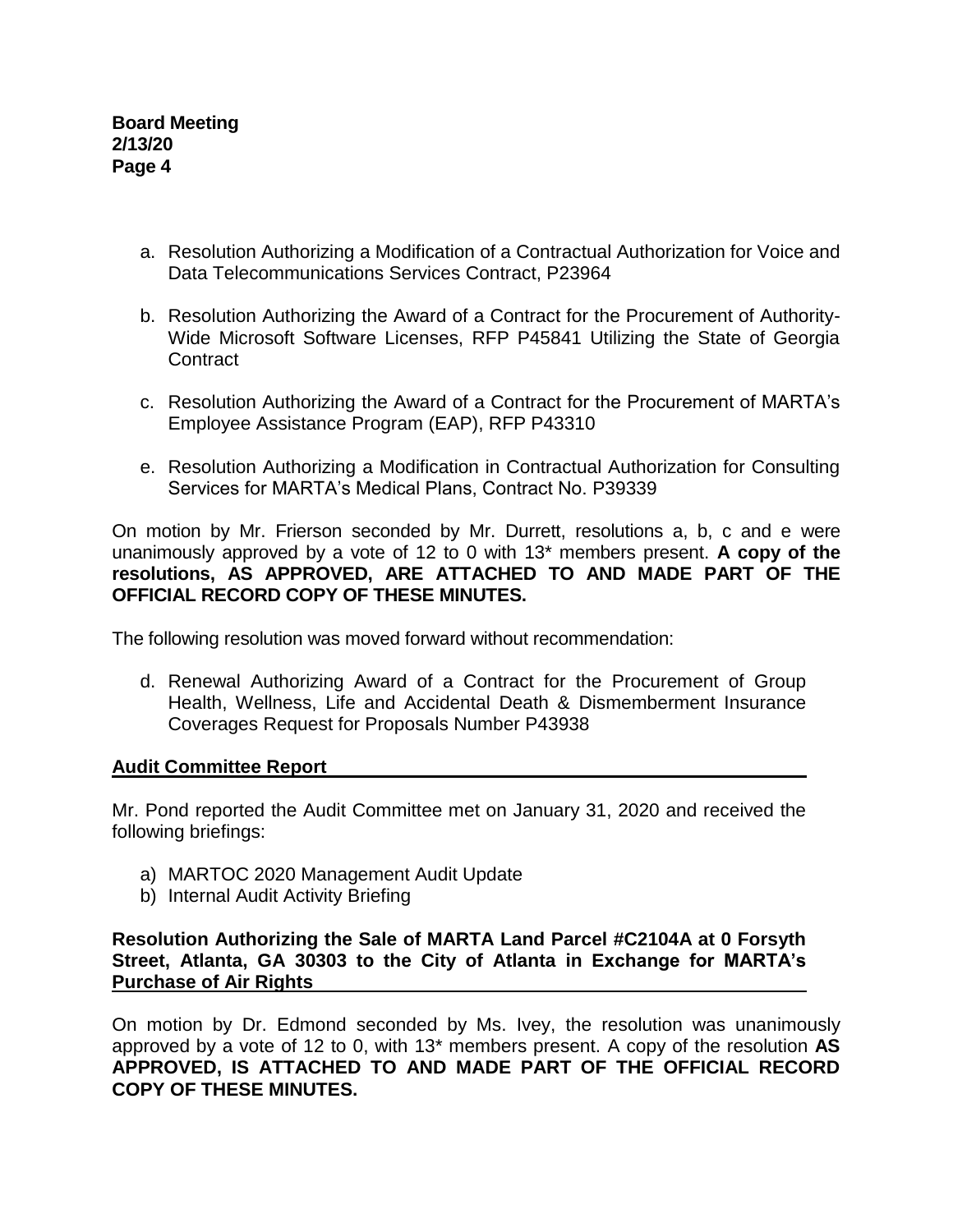- a. Resolution Authorizing a Modification of a Contractual Authorization for Voice and Data Telecommunications Services Contract, P23964
- b. Resolution Authorizing the Award of a Contract for the Procurement of Authority-Wide Microsoft Software Licenses, RFP P45841 Utilizing the State of Georgia **Contract**
- c. Resolution Authorizing the Award of a Contract for the Procurement of MARTA's Employee Assistance Program (EAP), RFP P43310
- e. Resolution Authorizing a Modification in Contractual Authorization for Consulting Services for MARTA's Medical Plans, Contract No. P39339

On motion by Mr. Frierson seconded by Mr. Durrett, resolutions a, b, c and e were unanimously approved by a vote of 12 to 0 with 13\* members present. **A copy of the resolutions, AS APPROVED, ARE ATTACHED TO AND MADE PART OF THE OFFICIAL RECORD COPY OF THESE MINUTES.**

The following resolution was moved forward without recommendation:

d. Renewal Authorizing Award of a Contract for the Procurement of Group Health, Wellness, Life and Accidental Death & Dismemberment Insurance Coverages Request for Proposals Number P43938

# **Audit Committee Report**

Mr. Pond reported the Audit Committee met on January 31, 2020 and received the following briefings:

- a) MARTOC 2020 Management Audit Update
- b) Internal Audit Activity Briefing

**Resolution Authorizing the Sale of MARTA Land Parcel #C2104A at 0 Forsyth Street, Atlanta, GA 30303 to the City of Atlanta in Exchange for MARTA's Purchase of Air Rights**

On motion by Dr. Edmond seconded by Ms. Ivey, the resolution was unanimously approved by a vote of 12 to 0, with 13\* members present. A copy of the resolution **AS APPROVED, IS ATTACHED TO AND MADE PART OF THE OFFICIAL RECORD COPY OF THESE MINUTES.**